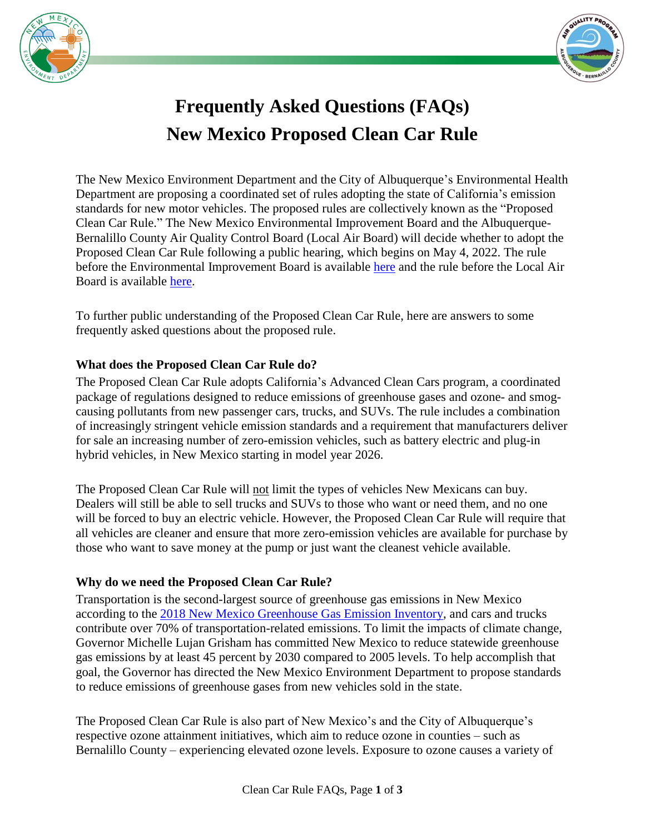



# **Frequently Asked Questions (FAQs) New Mexico Proposed Clean Car Rule**

The New Mexico Environment Department and the City of Albuquerque's Environmental Health Department are proposing a coordinated set of rules adopting the state of California's emission standards for new motor vehicles. The proposed rules are collectively known as the "Proposed Clean Car Rule." The New Mexico Environmental Improvement Board and the Albuquerque-Bernalillo County Air Quality Control Board (Local Air Board) will decide whether to adopt the Proposed Clean Car Rule following a public hearing, which begins on May 4, 2022. The rule before the Environmental Improvement Board is available [here](https://www.cabq.gov/airquality/documents/nmed-proposed-regulation.pdf) and the rule before the Local Air Board is available [here.](https://www.cabq.gov/airquality/documents/2022-01-25_part-104_petition_ex-c_replacement-20-11-104-nmac_final.pdf)

To further public understanding of the Proposed Clean Car Rule, here are answers to some frequently asked questions about the proposed rule.

## **What does the Proposed Clean Car Rule do?**

The Proposed Clean Car Rule adopts California's Advanced Clean Cars program, a coordinated package of regulations designed to reduce emissions of greenhouse gases and ozone- and smogcausing pollutants from new passenger cars, trucks, and SUVs. The rule includes a combination of increasingly stringent vehicle emission standards and a requirement that manufacturers deliver for sale an increasing number of zero-emission vehicles, such as battery electric and plug-in hybrid vehicles, in New Mexico starting in model year 2026.

The Proposed Clean Car Rule will not limit the types of vehicles New Mexicans can buy. Dealers will still be able to sell trucks and SUVs to those who want or need them, and no one will be forced to buy an electric vehicle. However, the Proposed Clean Car Rule will require that all vehicles are cleaner and ensure that more zero-emission vehicles are available for purchase by those who want to save money at the pump or just want the cleanest vehicle available.

#### **Why do we need the Proposed Clean Car Rule?**

Transportation is the second-largest source of greenhouse gas emissions in New Mexico according to the [2018 New Mexico Greenhouse Gas Emission Inventory,](https://cnee.colostate.edu/wp-content/uploads/2020/10/New-Mexico-GHG-Inventory-and-Forecast-Report_2020-10-27_final.pdf) and cars and trucks contribute over 70% of transportation-related emissions. To limit the impacts of climate change, Governor Michelle Lujan Grisham has committed New Mexico to reduce statewide greenhouse gas emissions by at least 45 percent by 2030 compared to 2005 levels. To help accomplish that goal, the Governor has directed the New Mexico Environment Department to propose standards to reduce emissions of greenhouse gases from new vehicles sold in the state.

The Proposed Clean Car Rule is also part of New Mexico's and the City of Albuquerque's respective ozone attainment initiatives, which aim to reduce ozone in counties – such as Bernalillo County – experiencing elevated ozone levels. Exposure to ozone causes a variety of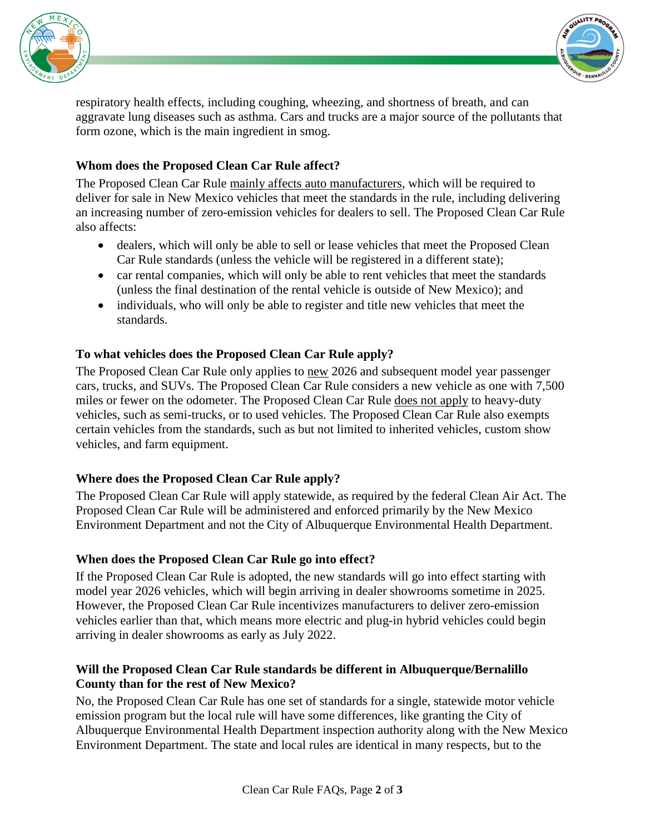



respiratory health effects, including coughing, wheezing, and shortness of breath, and can aggravate lung diseases such as asthma. Cars and trucks are a major source of the pollutants that form ozone, which is the main ingredient in smog.

## **Whom does the Proposed Clean Car Rule affect?**

The Proposed Clean Car Rule mainly affects auto manufacturers, which will be required to deliver for sale in New Mexico vehicles that meet the standards in the rule, including delivering an increasing number of zero-emission vehicles for dealers to sell. The Proposed Clean Car Rule also affects:

- dealers, which will only be able to sell or lease vehicles that meet the Proposed Clean Car Rule standards (unless the vehicle will be registered in a different state);
- car rental companies, which will only be able to rent vehicles that meet the standards (unless the final destination of the rental vehicle is outside of New Mexico); and
- individuals, who will only be able to register and title new vehicles that meet the standards.

#### **To what vehicles does the Proposed Clean Car Rule apply?**

The Proposed Clean Car Rule only applies to new 2026 and subsequent model year passenger cars, trucks, and SUVs. The Proposed Clean Car Rule considers a new vehicle as one with 7,500 miles or fewer on the odometer. The Proposed Clean Car Rule does not apply to heavy-duty vehicles, such as semi-trucks, or to used vehicles. The Proposed Clean Car Rule also exempts certain vehicles from the standards, such as but not limited to inherited vehicles, custom show vehicles, and farm equipment.

#### **Where does the Proposed Clean Car Rule apply?**

The Proposed Clean Car Rule will apply statewide, as required by the federal Clean Air Act. The Proposed Clean Car Rule will be administered and enforced primarily by the New Mexico Environment Department and not the City of Albuquerque Environmental Health Department.

#### **When does the Proposed Clean Car Rule go into effect?**

If the Proposed Clean Car Rule is adopted, the new standards will go into effect starting with model year 2026 vehicles, which will begin arriving in dealer showrooms sometime in 2025. However, the Proposed Clean Car Rule incentivizes manufacturers to deliver zero-emission vehicles earlier than that, which means more electric and plug-in hybrid vehicles could begin arriving in dealer showrooms as early as July 2022.

#### **Will the Proposed Clean Car Rule standards be different in Albuquerque/Bernalillo County than for the rest of New Mexico?**

No, the Proposed Clean Car Rule has one set of standards for a single, statewide motor vehicle emission program but the local rule will have some differences, like granting the City of Albuquerque Environmental Health Department inspection authority along with the New Mexico Environment Department. The state and local rules are identical in many respects, but to the